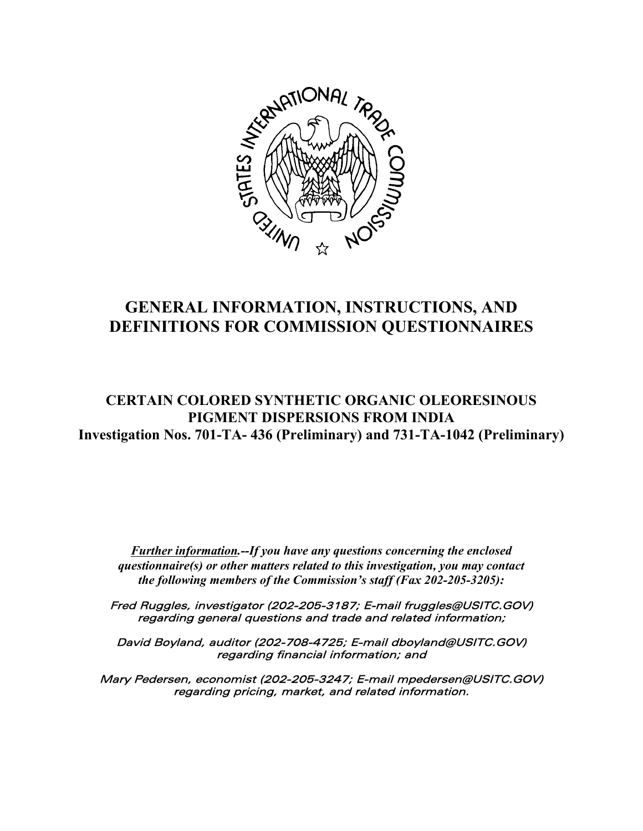

# **GENERAL INFORMATION, INSTRUCTIONS, AND DEFINITIONS FOR COMMISSION QUESTIONNAIRES**

# **CERTAIN COLORED SYNTHETIC ORGANIC OLEORESINOUS PIGMENT DISPERSIONS FROM INDIA Investigation Nos. 701-TA- 436 (Preliminary) and 731-TA-1042 (Preliminary)**

*Further information.--If you have any questions concerning the enclosed questionnaire(s) or other matters related to this investigation, you may contact the following members of the Commission's staff (Fax 202-205-3205):*

Fred Ruggles, investigator (202-205-3187; E-mail fruggles@USITC.GOV) regarding general questions and trade and related information;

David Boyland, auditor (202-708-4725; E-mail dboyland@USITC.GOV) regarding financial information; and

Mary Pedersen, economist (202-205-3247; E-mail mpedersen@USITC.GOV) regarding pricing, market, and related information.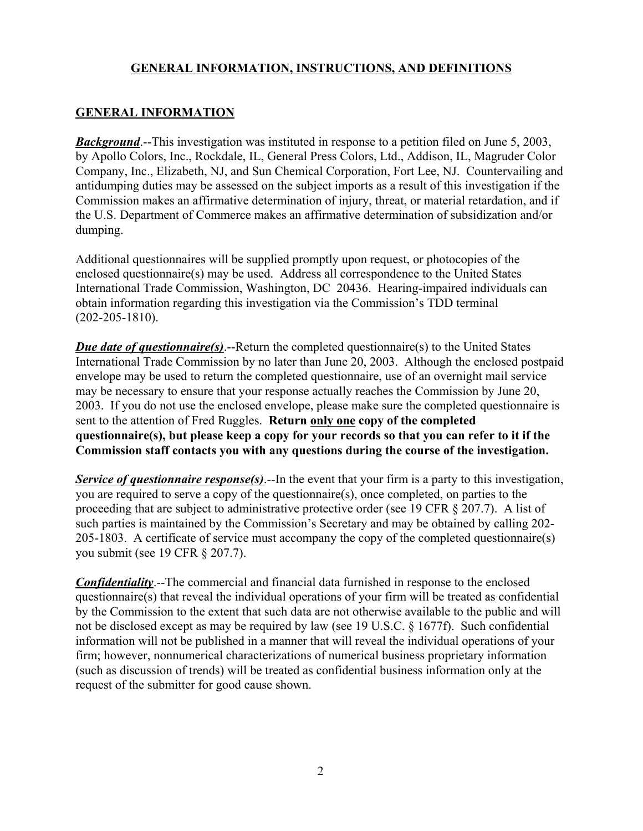# **GENERAL INFORMATION**

**Background**.--This investigation was instituted in response to a petition filed on June 5, 2003, by Apollo Colors, Inc., Rockdale, IL, General Press Colors, Ltd., Addison, IL, Magruder Color Company, Inc., Elizabeth, NJ, and Sun Chemical Corporation, Fort Lee, NJ. Countervailing and antidumping duties may be assessed on the subject imports as a result of this investigation if the Commission makes an affirmative determination of injury, threat, or material retardation, and if the U.S. Department of Commerce makes an affirmative determination of subsidization and/or dumping.

Additional questionnaires will be supplied promptly upon request, or photocopies of the enclosed questionnaire(s) may be used. Address all correspondence to the United States International Trade Commission, Washington, DC 20436. Hearing-impaired individuals can obtain information regarding this investigation via the Commission's TDD terminal (202-205-1810).

*Due date of questionnaire(s)*.--Return the completed questionnaire(s) to the United States International Trade Commission by no later than June 20, 2003. Although the enclosed postpaid envelope may be used to return the completed questionnaire, use of an overnight mail service may be necessary to ensure that your response actually reaches the Commission by June 20, 2003. If you do not use the enclosed envelope, please make sure the completed questionnaire is sent to the attention of Fred Ruggles. **Return only one copy of the completed questionnaire(s), but please keep a copy for your records so that you can refer to it if the Commission staff contacts you with any questions during the course of the investigation.**

*Service of questionnaire response(s)*.--In the event that your firm is a party to this investigation, you are required to serve a copy of the questionnaire(s), once completed, on parties to the proceeding that are subject to administrative protective order (see 19 CFR § 207.7). A list of such parties is maintained by the Commission's Secretary and may be obtained by calling 202- 205-1803. A certificate of service must accompany the copy of the completed questionnaire(s) you submit (see 19 CFR § 207.7).

*Confidentiality*.--The commercial and financial data furnished in response to the enclosed questionnaire(s) that reveal the individual operations of your firm will be treated as confidential by the Commission to the extent that such data are not otherwise available to the public and will not be disclosed except as may be required by law (see 19 U.S.C. § 1677f). Such confidential information will not be published in a manner that will reveal the individual operations of your firm; however, nonnumerical characterizations of numerical business proprietary information (such as discussion of trends) will be treated as confidential business information only at the request of the submitter for good cause shown.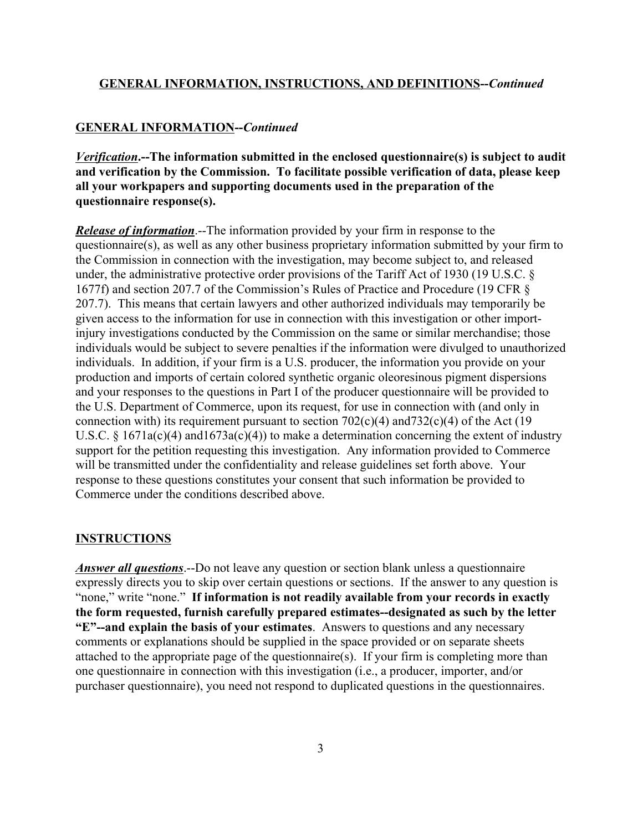#### **GENERAL INFORMATION--***Continued*

*Verification***.--The information submitted in the enclosed questionnaire(s) is subject to audit and verification by the Commission. To facilitate possible verification of data, please keep all your workpapers and supporting documents used in the preparation of the questionnaire response(s).**

*Release of information*.--The information provided by your firm in response to the questionnaire(s), as well as any other business proprietary information submitted by your firm to the Commission in connection with the investigation, may become subject to, and released under, the administrative protective order provisions of the Tariff Act of 1930 (19 U.S.C. § 1677f) and section 207.7 of the Commission's Rules of Practice and Procedure (19 CFR § 207.7). This means that certain lawyers and other authorized individuals may temporarily be given access to the information for use in connection with this investigation or other importinjury investigations conducted by the Commission on the same or similar merchandise; those individuals would be subject to severe penalties if the information were divulged to unauthorized individuals. In addition, if your firm is a U.S. producer, the information you provide on your production and imports of certain colored synthetic organic oleoresinous pigment dispersions and your responses to the questions in Part I of the producer questionnaire will be provided to the U.S. Department of Commerce, upon its request, for use in connection with (and only in connection with) its requirement pursuant to section  $702(c)(4)$  and  $732(c)(4)$  of the Act (19 U.S.C. §  $1671a(c)(4)$  and  $1673a(c)(4)$ ) to make a determination concerning the extent of industry support for the petition requesting this investigation. Any information provided to Commerce will be transmitted under the confidentiality and release guidelines set forth above. Your response to these questions constitutes your consent that such information be provided to Commerce under the conditions described above.

#### **INSTRUCTIONS**

*Answer all questions*.--Do not leave any question or section blank unless a questionnaire expressly directs you to skip over certain questions or sections. If the answer to any question is "none," write "none." **If information is not readily available from your records in exactly the form requested, furnish carefully prepared estimates--designated as such by the letter "E"--and explain the basis of your estimates**. Answers to questions and any necessary comments or explanations should be supplied in the space provided or on separate sheets attached to the appropriate page of the questionnaire(s). If your firm is completing more than one questionnaire in connection with this investigation (i.e., a producer, importer, and/or purchaser questionnaire), you need not respond to duplicated questions in the questionnaires.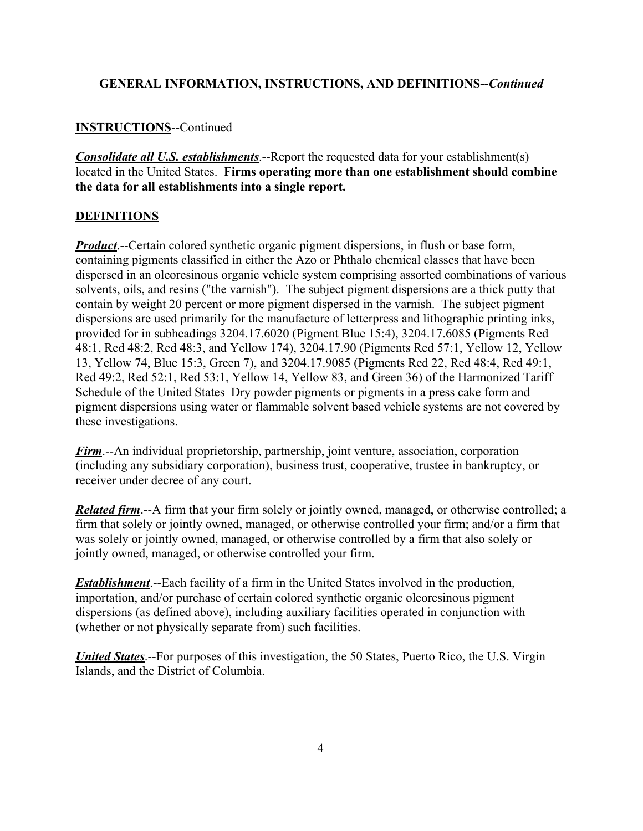#### **INSTRUCTIONS**--Continued

*Consolidate all U.S. establishments*.--Report the requested data for your establishment(s) located in the United States. **Firms operating more than one establishment should combine the data for all establishments into a single report.**

#### **DEFINITIONS**

*Product*.--Certain colored synthetic organic pigment dispersions, in flush or base form, containing pigments classified in either the Azo or Phthalo chemical classes that have been dispersed in an oleoresinous organic vehicle system comprising assorted combinations of various solvents, oils, and resins ("the varnish"). The subject pigment dispersions are a thick putty that contain by weight 20 percent or more pigment dispersed in the varnish. The subject pigment dispersions are used primarily for the manufacture of letterpress and lithographic printing inks, provided for in subheadings 3204.17.6020 (Pigment Blue 15:4), 3204.17.6085 (Pigments Red 48:1, Red 48:2, Red 48:3, and Yellow 174), 3204.17.90 (Pigments Red 57:1, Yellow 12, Yellow 13, Yellow 74, Blue 15:3, Green 7), and 3204.17.9085 (Pigments Red 22, Red 48:4, Red 49:1, Red 49:2, Red 52:1, Red 53:1, Yellow 14, Yellow 83, and Green 36) of the Harmonized Tariff Schedule of the United States Dry powder pigments or pigments in a press cake form and pigment dispersions using water or flammable solvent based vehicle systems are not covered by these investigations.

*Firm*.--An individual proprietorship, partnership, joint venture, association, corporation (including any subsidiary corporation), business trust, cooperative, trustee in bankruptcy, or receiver under decree of any court.

*Related firm*.--A firm that your firm solely or jointly owned, managed, or otherwise controlled; a firm that solely or jointly owned, managed, or otherwise controlled your firm; and/or a firm that was solely or jointly owned, managed, or otherwise controlled by a firm that also solely or jointly owned, managed, or otherwise controlled your firm.

*Establishment*.--Each facility of a firm in the United States involved in the production, importation, and/or purchase of certain colored synthetic organic oleoresinous pigment dispersions (as defined above), including auxiliary facilities operated in conjunction with (whether or not physically separate from) such facilities.

*United States*.--For purposes of this investigation, the 50 States, Puerto Rico, the U.S. Virgin Islands, and the District of Columbia.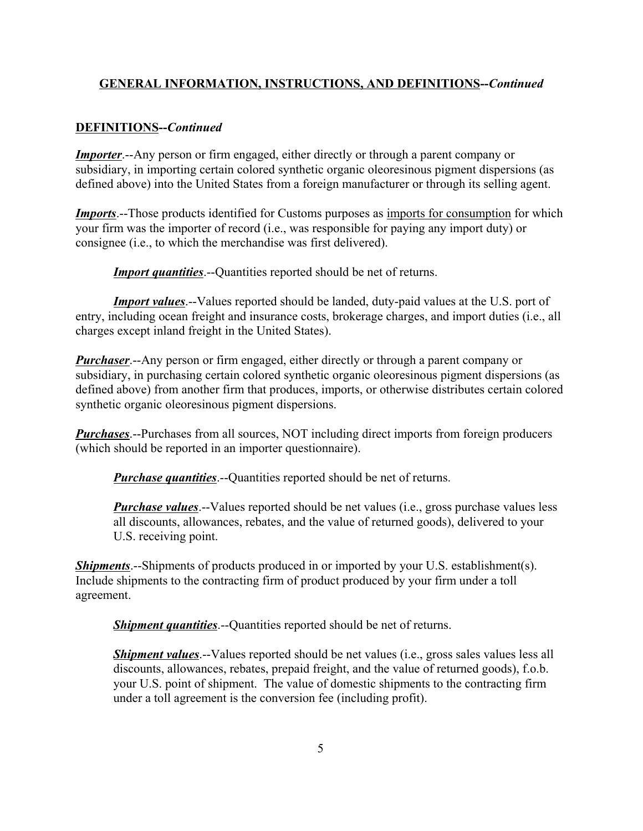#### **DEFINITIONS--***Continued*

*Importer.*--Any person or firm engaged, either directly or through a parent company or subsidiary, in importing certain colored synthetic organic oleoresinous pigment dispersions (as defined above) into the United States from a foreign manufacturer or through its selling agent.

*Imports*.--Those products identified for Customs purposes as imports for consumption for which your firm was the importer of record (i.e., was responsible for paying any import duty) or consignee (i.e., to which the merchandise was first delivered).

*Import quantities*.--Quantities reported should be net of returns.

*Import values*.--Values reported should be landed, duty-paid values at the U.S. port of entry, including ocean freight and insurance costs, brokerage charges, and import duties (i.e., all charges except inland freight in the United States).

*Purchaser*.--Any person or firm engaged, either directly or through a parent company or subsidiary, in purchasing certain colored synthetic organic oleoresinous pigment dispersions (as defined above) from another firm that produces, imports, or otherwise distributes certain colored synthetic organic oleoresinous pigment dispersions.

*Purchases*.--Purchases from all sources, NOT including direct imports from foreign producers (which should be reported in an importer questionnaire).

*Purchase quantities.*--Quantities reported should be net of returns.

*Purchase values*.--Values reported should be net values (i.e., gross purchase values less all discounts, allowances, rebates, and the value of returned goods), delivered to your U.S. receiving point.

*Shipments*.--Shipments of products produced in or imported by your U.S. establishment(s). Include shipments to the contracting firm of product produced by your firm under a toll agreement.

*Shipment quantities*.--Quantities reported should be net of returns.

*Shipment values*.--Values reported should be net values (i.e., gross sales values less all discounts, allowances, rebates, prepaid freight, and the value of returned goods), f.o.b. your U.S. point of shipment. The value of domestic shipments to the contracting firm under a toll agreement is the conversion fee (including profit).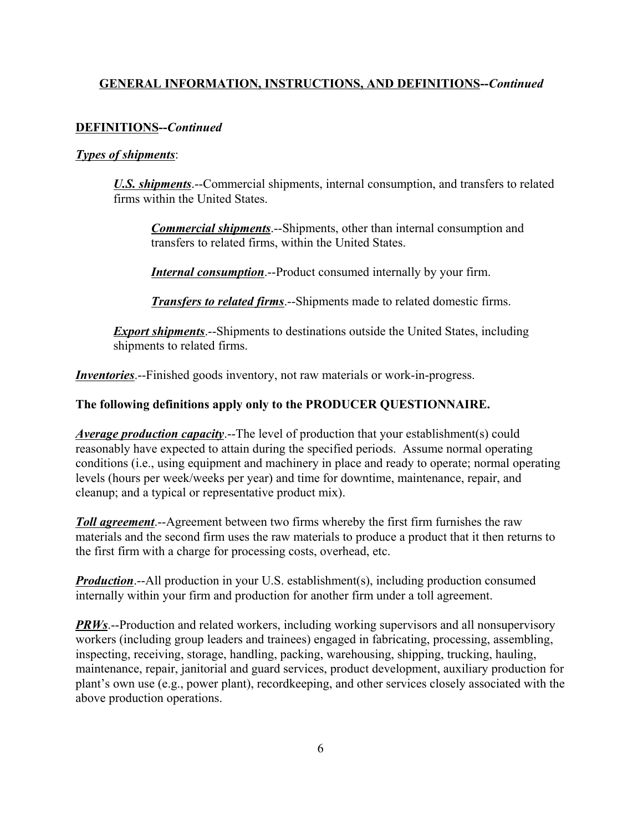#### **DEFINITIONS--***Continued*

#### *Types of shipments*:

*U.S. shipments*.--Commercial shipments, internal consumption, and transfers to related firms within the United States.

*Commercial shipments*.--Shipments, other than internal consumption and transfers to related firms, within the United States.

*Internal consumption*.--Product consumed internally by your firm.

*Transfers to related firms*.--Shipments made to related domestic firms.

*Export shipments*.--Shipments to destinations outside the United States, including shipments to related firms.

*Inventories*.--Finished goods inventory, not raw materials or work-in-progress.

#### **The following definitions apply only to the PRODUCER QUESTIONNAIRE.**

*Average production capacity*.--The level of production that your establishment(s) could reasonably have expected to attain during the specified periods. Assume normal operating conditions (i.e., using equipment and machinery in place and ready to operate; normal operating levels (hours per week/weeks per year) and time for downtime, maintenance, repair, and cleanup; and a typical or representative product mix).

*Toll agreement*.--Agreement between two firms whereby the first firm furnishes the raw materials and the second firm uses the raw materials to produce a product that it then returns to the first firm with a charge for processing costs, overhead, etc.

*Production*.--All production in your U.S. establishment(s), including production consumed internally within your firm and production for another firm under a toll agreement.

*PRWs*.--Production and related workers, including working supervisors and all nonsupervisory workers (including group leaders and trainees) engaged in fabricating, processing, assembling, inspecting, receiving, storage, handling, packing, warehousing, shipping, trucking, hauling, maintenance, repair, janitorial and guard services, product development, auxiliary production for plant's own use (e.g., power plant), recordkeeping, and other services closely associated with the above production operations.